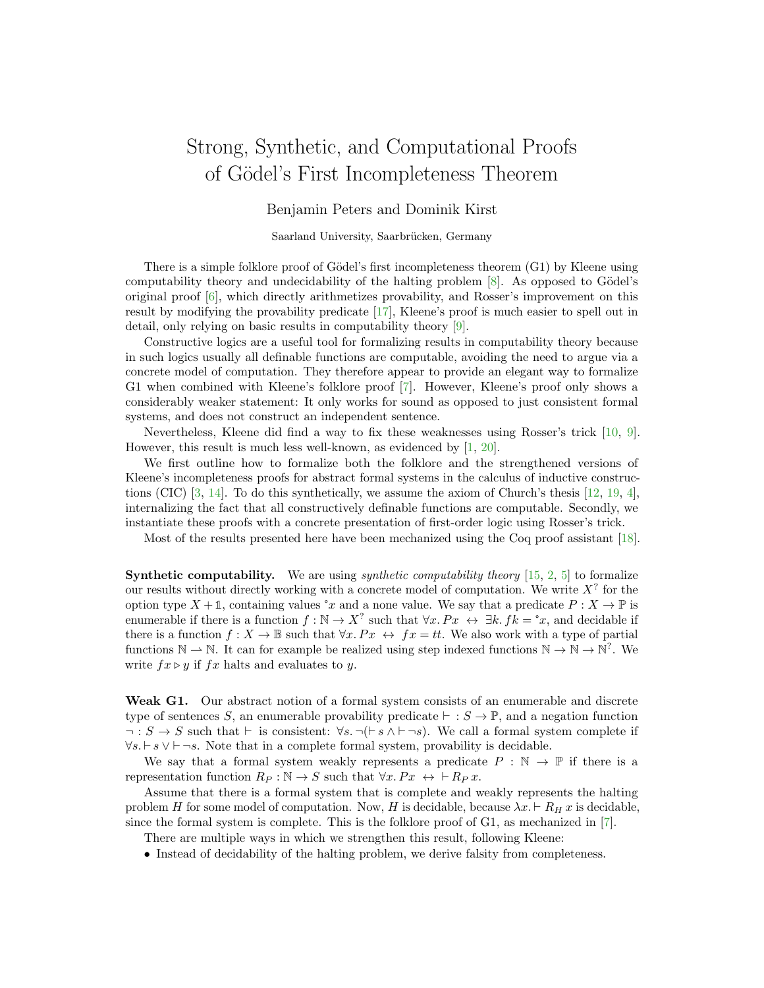## Strong, Synthetic, and Computational Proofs of G¨odel's First Incompleteness Theorem

Benjamin Peters and Dominik Kirst

Saarland University, Saarbrücken, Germany

There is a simple folklore proof of Gödel's first incompleteness theorem  $(G1)$  by Kleene using computability theory and undecidability of the halting problem  $[8]$ . As opposed to Gödel's original proof [\[6\]](#page-2-1), which directly arithmetizes provability, and Rosser's improvement on this result by modifying the provability predicate [\[17\]](#page-2-2), Kleene's proof is much easier to spell out in detail, only relying on basic results in computability theory [\[9\]](#page-2-3).

Constructive logics are a useful tool for formalizing results in computability theory because in such logics usually all definable functions are computable, avoiding the need to argue via a concrete model of computation. They therefore appear to provide an elegant way to formalize G1 when combined with Kleene's folklore proof [\[7\]](#page-2-4). However, Kleene's proof only shows a considerably weaker statement: It only works for sound as opposed to just consistent formal systems, and does not construct an independent sentence.

Nevertheless, Kleene did find a way to fix these weaknesses using Rosser's trick [\[10,](#page-2-5) [9\]](#page-2-3). However, this result is much less well-known, as evidenced by [\[1,](#page-2-6) [20\]](#page-3-0).

We first outline how to formalize both the folklore and the strengthened versions of Kleene's incompleteness proofs for abstract formal systems in the calculus of inductive constructions (CIC) [\[3,](#page-2-7) [14\]](#page-2-8). To do this synthetically, we assume the axiom of Church's thesis [\[12,](#page-2-9) [19,](#page-2-10) [4\]](#page-2-11), internalizing the fact that all constructively definable functions are computable. Secondly, we instantiate these proofs with a concrete presentation of first-order logic using Rosser's trick.

Most of the results presented here have been mechanized using the Coq proof assistant [\[18\]](#page-2-12).

**Synthetic computability.** We are using *synthetic computability theory*  $[15, 2, 5]$  $[15, 2, 5]$  $[15, 2, 5]$  $[15, 2, 5]$  $[15, 2, 5]$  to formalize our results without directly working with a concrete model of computation. We write  $X^?$  for the option type  $X + \mathbb{1}$ , containing values  $^{\circ}x$  and a none value. We say that a predicate  $P : X \to \mathbb{P}$  is enumerable if there is a function  $f : \mathbb{N} \to X^?$  such that  $\forall x. Px \leftrightarrow \exists k. ff_k = \degree x$ , and decidable if there is a function  $f: X \to \mathbb{B}$  such that  $\forall x. Px \leftrightarrow fx = tt$ . We also work with a type of partial functions  $\mathbb{N} \to \mathbb{N}$ . It can for example be realized using step indexed functions  $\mathbb{N} \to \mathbb{N}^2$ . We write  $fx \triangleright y$  if  $fx$  halts and evaluates to y.

Weak G1. Our abstract notion of a formal system consists of an enumerable and discrete type of sentences S, an enumerable provability predicate  $\vdash : S \to \mathbb{P}$ , and a negation function  $\neg : S \to S$  such that  $\vdash$  is consistent:  $\forall s. \neg(\vdash s \land \vdash \neg s)$ . We call a formal system complete if  $\forall s. \vdash s \lor \vdash \neg s$ . Note that in a complete formal system, provability is decidable.

We say that a formal system weakly represents a predicate  $P : \mathbb{N} \to \mathbb{P}$  if there is a representation function  $R_P : \mathbb{N} \to S$  such that  $\forall x. Px \leftrightarrow \vdash R_P x$ .

Assume that there is a formal system that is complete and weakly represents the halting problem H for some model of computation. Now, H is decidable, because  $\lambda x \vdash R_H x$  is decidable, since the formal system is complete. This is the folklore proof of G1, as mechanized in [\[7\]](#page-2-4).

There are multiple ways in which we strengthen this result, following Kleene:

• Instead of decidability of the halting problem, we derive falsity from completeness.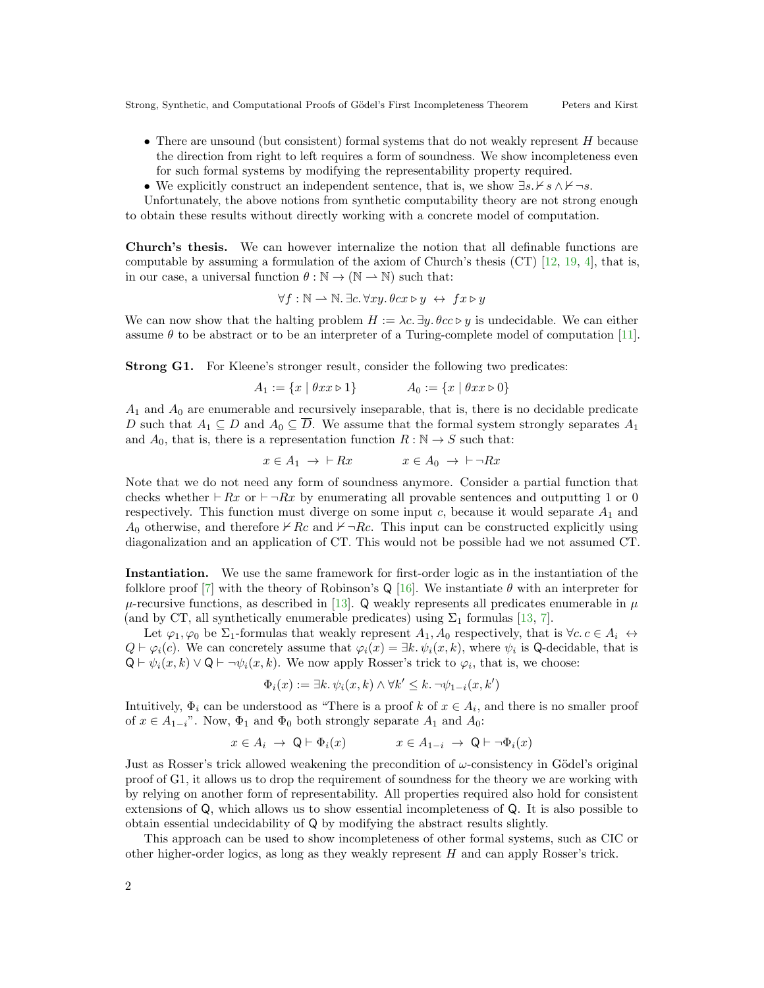- There are unsound (but consistent) formal systems that do not weakly represent H because the direction from right to left requires a form of soundness. We show incompleteness even for such formal systems by modifying the representability property required.
- We explicitly construct an independent sentence, that is, we show  $\exists s.\nvdash s \land \nvdash \neg s$ .

Unfortunately, the above notions from synthetic computability theory are not strong enough to obtain these results without directly working with a concrete model of computation.

Church's thesis. We can however internalize the notion that all definable functions are computable by assuming a formulation of the axiom of Church's thesis (CT) [\[12,](#page-2-9) [19,](#page-2-10) [4\]](#page-2-11), that is, in our case, a universal function  $\theta : \mathbb{N} \to (\mathbb{N} \to \mathbb{N})$  such that:

$$
\forall f : \mathbb{N} \to \mathbb{N}. \exists c. \forall xy. \theta cx \triangleright y \leftrightarrow fx \triangleright y
$$

We can now show that the halting problem  $H := \lambda c$ .  $\exists y \ldotp \theta c \in \mathcal{V}$  is undecidable. We can either assume  $\theta$  to be abstract or to be an interpreter of a Turing-complete model of computation [\[11\]](#page-2-16).

Strong G1. For Kleene's stronger result, consider the following two predicates:

$$
A_1 := \{x \mid \theta x x \triangleright 1\} \qquad A_0 := \{x \mid \theta x x \triangleright 0\}
$$

 $A_1$  and  $A_0$  are enumerable and recursively inseparable, that is, there is no decidable predicate D such that  $A_1 \subseteq D$  and  $A_0 \subseteq \overline{D}$ . We assume that the formal system strongly separates  $A_1$ and  $A_0$ , that is, there is a representation function  $R : \mathbb{N} \to S$  such that:

$$
x \in A_1 \ \to \ \ \vdash Rx \qquad \qquad x \in A_0 \ \to \ \ \vdash \ \neg Rx
$$

Note that we do not need any form of soundness anymore. Consider a partial function that checks whether  $\vdash Rx$  or  $\vdash \neg Rx$  by enumerating all provable sentences and outputting 1 or 0 respectively. This function must diverge on some input  $c$ , because it would separate  $A_1$  and A<sub>0</sub> otherwise, and therefore  $\forall$  Rc and  $\nvdash \neg Rc$ . This input can be constructed explicitly using diagonalization and an application of CT. This would not be possible had we not assumed CT.

Instantiation. We use the same framework for first-order logic as in the instantiation of the folklore proof [\[7\]](#page-2-4) with the theory of Robinson's Q [\[16\]](#page-2-17). We instantiate  $\theta$  with an interpreter for  $\mu$ -recursive functions, as described in [\[13\]](#page-2-18). Q weakly represents all predicates enumerable in  $\mu$ (and by CT, all synthetically enumerable predicates) using  $\Sigma_1$  formulas [\[13,](#page-2-18) [7\]](#page-2-4).

Let  $\varphi_1, \varphi_0$  be  $\Sigma_1$ -formulas that weakly represent  $A_1, A_0$  respectively, that is  $\forall c. c \in A_i \leftrightarrow$  $Q \vdash \varphi_i(c)$ . We can concretely assume that  $\varphi_i(x) = \exists k. \psi_i(x, k)$ , where  $\psi_i$  is Q-decidable, that is  $Q \vdash \psi_i(x, k) \lor Q \vdash \neg \psi_i(x, k)$ . We now apply Rosser's trick to  $\varphi_i$ , that is, we choose:

$$
\Phi_i(x) := \exists k. \, \psi_i(x, k) \land \forall k' \leq k. \, \neg \psi_{1-i}(x, k')
$$

Intuitively,  $\Phi_i$  can be understood as "There is a proof k of  $x \in A_i$ , and there is no smaller proof of  $x \in A_{1-i}$ ". Now,  $\Phi_1$  and  $\Phi_0$  both strongly separate  $A_1$  and  $A_0$ :

$$
x \in A_i \ \to \ \mathsf{Q} \vdash \Phi_i(x) \qquad x \in A_{1-i} \ \to \ \mathsf{Q} \vdash \neg \Phi_i(x)
$$

Just as Rosser's trick allowed weakening the precondition of  $\omega$ -consistency in Gödel's original proof of G1, it allows us to drop the requirement of soundness for the theory we are working with by relying on another form of representability. All properties required also hold for consistent extensions of Q, which allows us to show essential incompleteness of Q. It is also possible to obtain essential undecidability of Q by modifying the abstract results slightly.

This approach can be used to show incompleteness of other formal systems, such as CIC or other higher-order logics, as long as they weakly represent H and can apply Rosser's trick.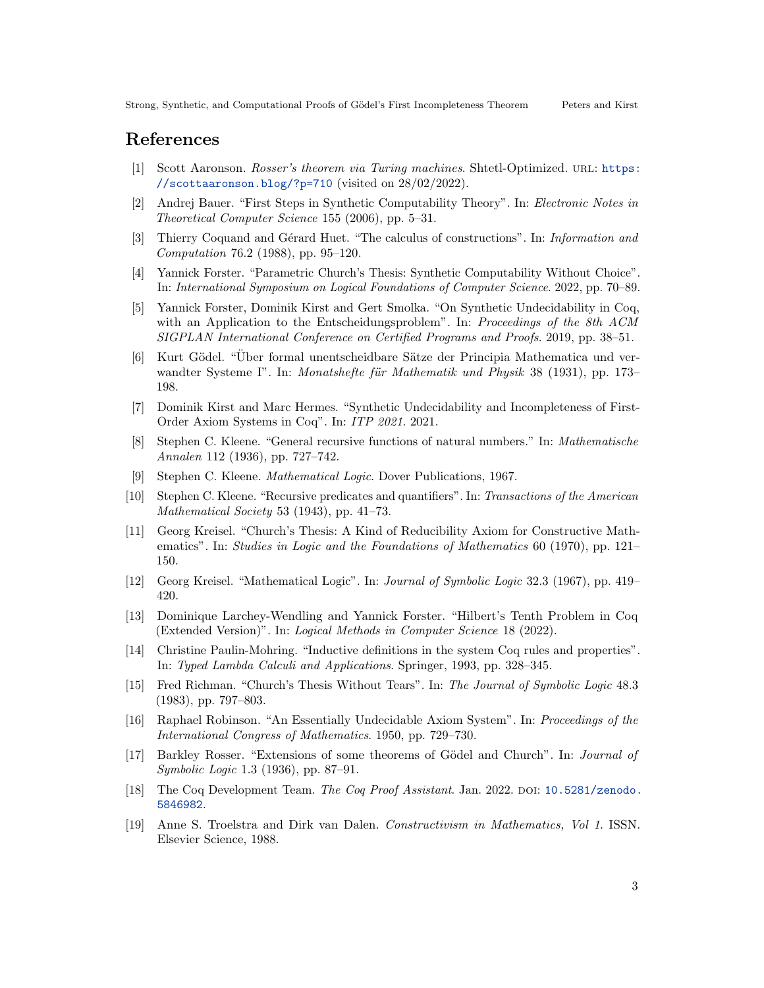## References

- <span id="page-2-6"></span>[1] Scott Aaronson. Rosser's theorem via Turing machines. Shtetl-Optimized. URL: [https:](https://scottaaronson.blog/?p=710) [//scottaaronson.blog/?p=710](https://scottaaronson.blog/?p=710) (visited on 28/02/2022).
- <span id="page-2-14"></span>[2] Andrej Bauer. "First Steps in Synthetic Computability Theory". In: Electronic Notes in Theoretical Computer Science 155 (2006), pp. 5–31.
- <span id="page-2-7"></span>[3] Thierry Coquand and Gérard Huet. "The calculus of constructions". In: Information and Computation 76.2 (1988), pp. 95–120.
- <span id="page-2-11"></span>[4] Yannick Forster. "Parametric Church's Thesis: Synthetic Computability Without Choice". In: International Symposium on Logical Foundations of Computer Science. 2022, pp. 70–89.
- <span id="page-2-15"></span>[5] Yannick Forster, Dominik Kirst and Gert Smolka. "On Synthetic Undecidability in Coq, with an Application to the Entscheidungsproblem". In: Proceedings of the 8th ACM SIGPLAN International Conference on Certified Programs and Proofs. 2019, pp. 38–51.
- <span id="page-2-1"></span>[6] Kurt Gödel. "Über formal unentscheidbare Sätze der Principia Mathematica und verwandter Systeme I". In: *Monatshefte für Mathematik und Physik* 38 (1931), pp. 173– 198.
- <span id="page-2-4"></span>[7] Dominik Kirst and Marc Hermes. "Synthetic Undecidability and Incompleteness of First-Order Axiom Systems in Coq". In: ITP 2021. 2021.
- <span id="page-2-0"></span>[8] Stephen C. Kleene. "General recursive functions of natural numbers." In: Mathematische Annalen 112 (1936), pp. 727–742.
- <span id="page-2-3"></span>[9] Stephen C. Kleene. Mathematical Logic. Dover Publications, 1967.
- <span id="page-2-5"></span>[10] Stephen C. Kleene. "Recursive predicates and quantifiers". In: Transactions of the American Mathematical Society 53 (1943), pp. 41–73.
- <span id="page-2-16"></span>[11] Georg Kreisel. "Church's Thesis: A Kind of Reducibility Axiom for Constructive Mathematics". In: Studies in Logic and the Foundations of Mathematics 60 (1970), pp. 121– 150.
- <span id="page-2-9"></span>[12] Georg Kreisel. "Mathematical Logic". In: Journal of Symbolic Logic 32.3 (1967), pp. 419– 420.
- <span id="page-2-18"></span>[13] Dominique Larchey-Wendling and Yannick Forster. "Hilbert's Tenth Problem in Coq (Extended Version)". In: Logical Methods in Computer Science 18 (2022).
- <span id="page-2-8"></span>[14] Christine Paulin-Mohring. "Inductive definitions in the system Coq rules and properties". In: Typed Lambda Calculi and Applications. Springer, 1993, pp. 328–345.
- <span id="page-2-13"></span>[15] Fred Richman. "Church's Thesis Without Tears". In: The Journal of Symbolic Logic 48.3 (1983), pp. 797–803.
- <span id="page-2-17"></span>[16] Raphael Robinson. "An Essentially Undecidable Axiom System". In: Proceedings of the International Congress of Mathematics. 1950, pp. 729–730.
- <span id="page-2-2"></span>[17] Barkley Rosser. "Extensions of some theorems of Gödel and Church". In: *Journal of* Symbolic Logic 1.3 (1936), pp. 87–91.
- <span id="page-2-12"></span>[18] The Coq Development Team. The Coq Proof Assistant. Jan. 2022. DOI: [10.5281/zenodo.](https://doi.org/10.5281/zenodo.5846982) [5846982](https://doi.org/10.5281/zenodo.5846982).
- <span id="page-2-10"></span>[19] Anne S. Troelstra and Dirk van Dalen. Constructivism in Mathematics, Vol 1. ISSN. Elsevier Science, 1988.